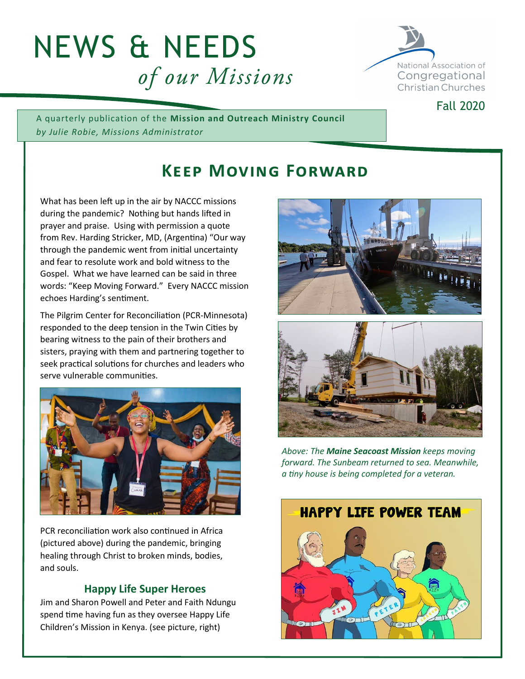# NEWS & NEEDS of our Missions



A quarterly publication of the **Mission and Outreach Ministry Council** *by Julie Robie, Missions Administrator*

# **Keep Moving Forward**

What has been left up in the air by NACCC missions during the pandemic? Nothing but hands lifted in prayer and praise. Using with permission a quote from Rev. Harding Stricker, MD, (Argentina) "Our way through the pandemic went from initial uncertainty and fear to resolute work and bold witness to the Gospel. What we have learned can be said in three words: "Keep Moving Forward." Every NACCC mission echoes Harding's sentiment.

The Pilgrim Center for Reconciliation (PCR-Minnesota) responded to the deep tension in the Twin Cities by bearing witness to the pain of their brothers and sisters, praying with them and partnering together to seek practical solutions for churches and leaders who serve vulnerable communities.



PCR reconciliation work also continued in Africa (pictured above) during the pandemic, bringing healing through Christ to broken minds, bodies, and souls.

## **Happy Life Super Heroes**

Jim and Sharon Powell and Peter and Faith Ndungu spend time having fun as they oversee Happy Life Children's Mission in Kenya. (see picture, right)





*Above: The Maine Seacoast Mission keeps moving forward. The Sunbeam returned to sea. Meanwhile, a tiny house is being completed for a veteran.*



#### Fall 2020